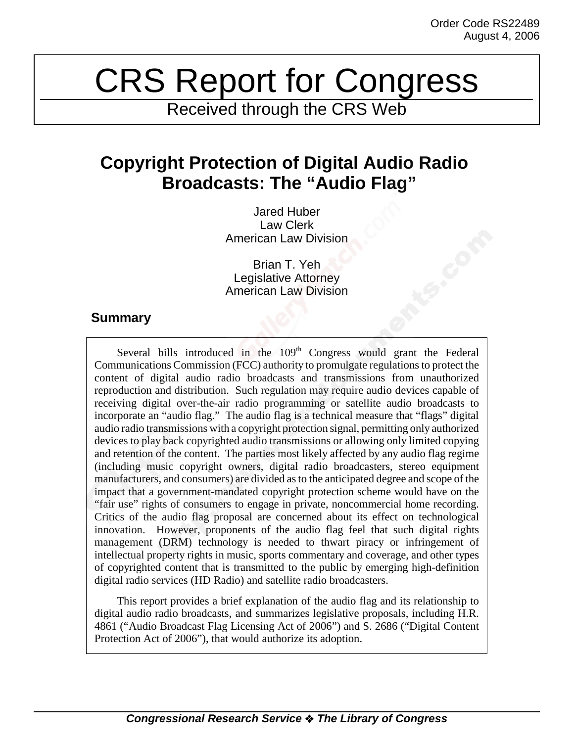# CRS Report for Congress

Received through the CRS Web

# **Copyright Protection of Digital Audio Radio Broadcasts: The "Audio Flag"**

Jared Huber Law Clerk American Law Division

Brian T. Yeh Legislative Attorney American Law Division

## **Summary**

Several bills introduced in the  $109<sup>th</sup>$  Congress would grant the Federal Communications Commission (FCC) authority to promulgate regulations to protect the content of digital audio radio broadcasts and transmissions from unauthorized reproduction and distribution. Such regulation may require audio devices capable of receiving digital over-the-air radio programming or satellite audio broadcasts to incorporate an "audio flag." The audio flag is a technical measure that "flags" digital audio radio transmissions with a copyright protection signal, permitting only authorized devices to play back copyrighted audio transmissions or allowing only limited copying and retention of the content. The parties most likely affected by any audio flag regime (including music copyright owners, digital radio broadcasters, stereo equipment manufacturers, and consumers) are divided as to the anticipated degree and scope of the impact that a government-mandated copyright protection scheme would have on the "fair use" rights of consumers to engage in private, noncommercial home recording. Critics of the audio flag proposal are concerned about its effect on technological innovation. However, proponents of the audio flag feel that such digital rights management (DRM) technology is needed to thwart piracy or infringement of intellectual property rights in music, sports commentary and coverage, and other types of copyrighted content that is transmitted to the public by emerging high-definition digital radio services (HD Radio) and satellite radio broadcasters.

This report provides a brief explanation of the audio flag and its relationship to digital audio radio broadcasts, and summarizes legislative proposals, including H.R. 4861 ("Audio Broadcast Flag Licensing Act of 2006") and S. 2686 ("Digital Content Protection Act of 2006"), that would authorize its adoption.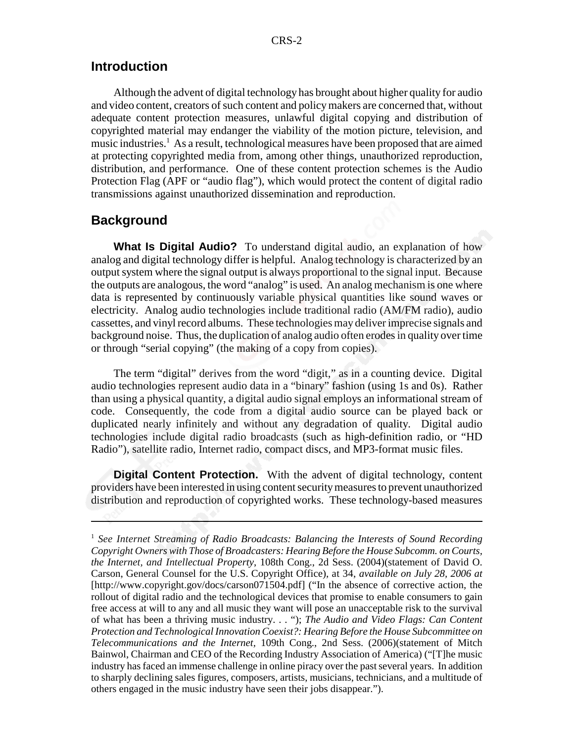#### **Introduction**

Although the advent of digital technology has brought about higher quality for audio and video content, creators of such content and policy makers are concerned that, without adequate content protection measures, unlawful digital copying and distribution of copyrighted material may endanger the viability of the motion picture, television, and music industries.<sup>1</sup> As a result, technological measures have been proposed that are aimed at protecting copyrighted media from, among other things, unauthorized reproduction, distribution, and performance. One of these content protection schemes is the Audio Protection Flag (APF or "audio flag"), which would protect the content of digital radio transmissions against unauthorized dissemination and reproduction.

#### **Background**

**What Is Digital Audio?** To understand digital audio, an explanation of how analog and digital technology differ is helpful. Analog technology is characterized by an output system where the signal output is always proportional to the signal input. Because the outputs are analogous, the word "analog" is used. An analog mechanism is one where data is represented by continuously variable physical quantities like sound waves or electricity. Analog audio technologies include traditional radio (AM/FM radio), audio cassettes, and vinyl record albums. These technologies may deliver imprecise signals and background noise. Thus, the duplication of analog audio often erodes in quality over time or through "serial copying" (the making of a copy from copies).

The term "digital" derives from the word "digit," as in a counting device. Digital audio technologies represent audio data in a "binary" fashion (using 1s and 0s). Rather than using a physical quantity, a digital audio signal employs an informational stream of code. Consequently, the code from a digital audio source can be played back or duplicated nearly infinitely and without any degradation of quality. Digital audio technologies include digital radio broadcasts (such as high-definition radio, or "HD Radio"), satellite radio, Internet radio, compact discs, and MP3-format music files.

**Digital Content Protection.** With the advent of digital technology, content providers have been interested in using content security measures to prevent unauthorized distribution and reproduction of copyrighted works. These technology-based measures

<sup>1</sup> *See Internet Streaming of Radio Broadcasts: Balancing the Interests of Sound Recording Copyright Owners with Those of Broadcasters: Hearing Before the House Subcomm. on Courts, the Internet, and Intellectual Property*, 108th Cong., 2d Sess. (2004)(statement of David O. Carson, General Counsel for the U.S. Copyright Office), at 34, *available on July 28, 2006 at* [http://www.copyright.gov/docs/carson071504.pdf] ("In the absence of corrective action, the rollout of digital radio and the technological devices that promise to enable consumers to gain free access at will to any and all music they want will pose an unacceptable risk to the survival of what has been a thriving music industry. . . "); *The Audio and Video Flags: Can Content Protection and Technological Innovation Coexist?: Hearing Before the House Subcommittee on Telecommunications and the Internet,* 109th Cong., 2nd Sess. (2006)(statement of Mitch Bainwol, Chairman and CEO of the Recording Industry Association of America) ("[T]he music industry has faced an immense challenge in online piracy over the past several years. In addition to sharply declining sales figures, composers, artists, musicians, technicians, and a multitude of others engaged in the music industry have seen their jobs disappear.").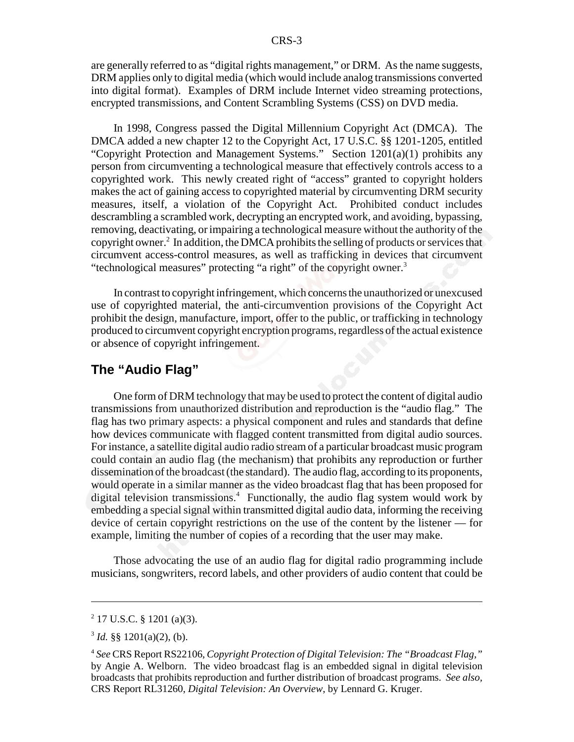are generally referred to as "digital rights management," or DRM. As the name suggests, DRM applies only to digital media (which would include analog transmissions converted into digital format). Examples of DRM include Internet video streaming protections, encrypted transmissions, and Content Scrambling Systems (CSS) on DVD media.

In 1998, Congress passed the Digital Millennium Copyright Act (DMCA). The DMCA added a new chapter 12 to the Copyright Act, 17 U.S.C. §§ 1201-1205, entitled "Copyright Protection and Management Systems." Section 1201(a)(1) prohibits any person from circumventing a technological measure that effectively controls access to a copyrighted work. This newly created right of "access" granted to copyright holders makes the act of gaining access to copyrighted material by circumventing DRM security measures, itself, a violation of the Copyright Act. Prohibited conduct includes descrambling a scrambled work, decrypting an encrypted work, and avoiding, bypassing, removing, deactivating, or impairing a technological measure without the authority of the copyright owner.<sup>2</sup> In addition, the DMCA prohibits the selling of products or services that circumvent access-control measures, as well as trafficking in devices that circumvent "technological measures" protecting "a right" of the copyright owner.<sup>3</sup>

In contrast to copyright infringement, which concerns the unauthorized or unexcused use of copyrighted material, the anti-circumvention provisions of the Copyright Act prohibit the design, manufacture, import, offer to the public, or trafficking in technology produced to circumvent copyright encryption programs, regardless of the actual existence or absence of copyright infringement.

#### **The "Audio Flag"**

One form of DRM technology that may be used to protect the content of digital audio transmissions from unauthorized distribution and reproduction is the "audio flag." The flag has two primary aspects: a physical component and rules and standards that define how devices communicate with flagged content transmitted from digital audio sources. For instance, a satellite digital audio radio stream of a particular broadcast music program could contain an audio flag (the mechanism) that prohibits any reproduction or further dissemination of the broadcast (the standard). The audio flag, according to its proponents, would operate in a similar manner as the video broadcast flag that has been proposed for digital television transmissions.4 Functionally, the audio flag system would work by embedding a special signal within transmitted digital audio data, informing the receiving device of certain copyright restrictions on the use of the content by the listener — for example, limiting the number of copies of a recording that the user may make.

Those advocating the use of an audio flag for digital radio programming include musicians, songwriters, record labels, and other providers of audio content that could be

<sup>2</sup> 17 U.S.C. § 1201 (a)(3).

 $3$  *Id.* §§ 1201(a)(2), (b).

<sup>4</sup> *See* CRS Report RS22106, *Copyright Protection of Digital Television: The "Broadcast Flag,"* by Angie A. Welborn. The video broadcast flag is an embedded signal in digital television broadcasts that prohibits reproduction and further distribution of broadcast programs. *See also,* CRS Report RL31260, *Digital Television: An Overview*, by Lennard G. Kruger.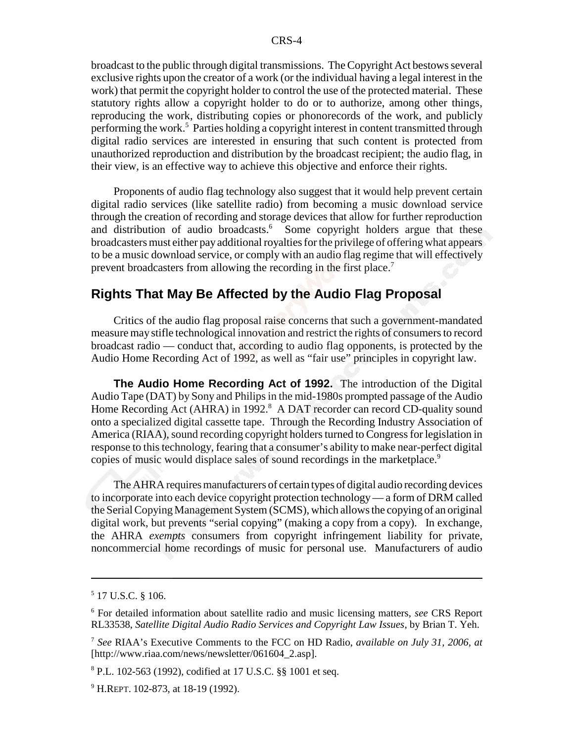broadcast to the public through digital transmissions. The Copyright Act bestows several exclusive rights upon the creator of a work (or the individual having a legal interest in the work) that permit the copyright holder to control the use of the protected material. These statutory rights allow a copyright holder to do or to authorize, among other things, reproducing the work, distributing copies or phonorecords of the work, and publicly performing the work.<sup>5</sup> Parties holding a copyright interest in content transmitted through digital radio services are interested in ensuring that such content is protected from unauthorized reproduction and distribution by the broadcast recipient; the audio flag, in their view, is an effective way to achieve this objective and enforce their rights.

Proponents of audio flag technology also suggest that it would help prevent certain digital radio services (like satellite radio) from becoming a music download service through the creation of recording and storage devices that allow for further reproduction and distribution of audio broadcasts.<sup>6</sup> Some copyright holders argue that these broadcasters must either pay additional royalties for the privilege of offering what appears to be a music download service, or comply with an audio flag regime that will effectively prevent broadcasters from allowing the recording in the first place.<sup>7</sup>

#### **Rights That May Be Affected by the Audio Flag Proposal**

Critics of the audio flag proposal raise concerns that such a government-mandated measure may stifle technological innovation and restrict the rights of consumers to record broadcast radio — conduct that, according to audio flag opponents, is protected by the Audio Home Recording Act of 1992, as well as "fair use" principles in copyright law.

**The Audio Home Recording Act of 1992.** The introduction of the Digital Audio Tape (DAT) by Sony and Philips in the mid-1980s prompted passage of the Audio Home Recording Act (AHRA) in 1992.<sup>8</sup> A DAT recorder can record CD-quality sound onto a specialized digital cassette tape. Through the Recording Industry Association of America (RIAA), sound recording copyright holders turned to Congress for legislation in response to this technology, fearing that a consumer's ability to make near-perfect digital copies of music would displace sales of sound recordings in the marketplace.<sup>9</sup>

The AHRA requires manufacturers of certain types of digital audio recording devices to incorporate into each device copyright protection technology — a form of DRM called the Serial Copying Management System (SCMS), which allows the copying of an original digital work, but prevents "serial copying" (making a copy from a copy). In exchange, the AHRA *exempts* consumers from copyright infringement liability for private, noncommercial home recordings of music for personal use. Manufacturers of audio

<sup>5</sup> 17 U.S.C. § 106.

<sup>6</sup> For detailed information about satellite radio and music licensing matters, *see* CRS Report RL33538, *Satellite Digital Audio Radio Services and Copyright Law Issues*, by Brian T. Yeh.

<sup>7</sup> *See* RIAA's Executive Comments to the FCC on HD Radio, *available on July 31, 2006, at* [http://www.riaa.com/news/newsletter/061604\_2.asp].

<sup>8</sup> P.L. 102-563 (1992), codified at 17 U.S.C. §§ 1001 et seq.

<sup>&</sup>lt;sup>9</sup> H.REPT. 102-873, at 18-19 (1992).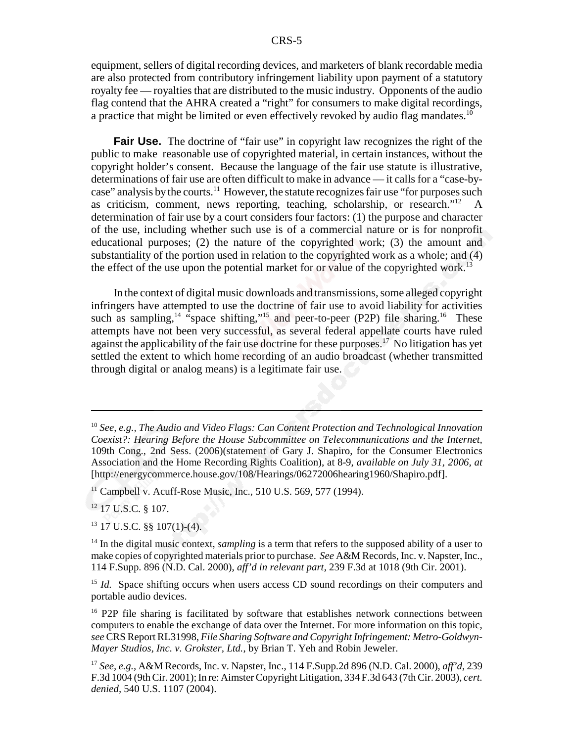equipment, sellers of digital recording devices, and marketers of blank recordable media are also protected from contributory infringement liability upon payment of a statutory royalty fee — royalties that are distributed to the music industry. Opponents of the audio flag contend that the AHRA created a "right" for consumers to make digital recordings, a practice that might be limited or even effectively revoked by audio flag mandates.<sup>10</sup>

**Fair Use.** The doctrine of "fair use" in copyright law recognizes the right of the public to make reasonable use of copyrighted material, in certain instances, without the copyright holder's consent. Because the language of the fair use statute is illustrative, determinations of fair use are often difficult to make in advance — it calls for a "case-bycase" analysis by the courts.<sup>11</sup> However, the statute recognizes fair use "for purposes such as criticism, comment, news reporting, teaching, scholarship, or research."12 A determination of fair use by a court considers four factors: (1) the purpose and character of the use, including whether such use is of a commercial nature or is for nonprofit educational purposes; (2) the nature of the copyrighted work; (3) the amount and substantiality of the portion used in relation to the copyrighted work as a whole; and (4) the effect of the use upon the potential market for or value of the copyrighted work.<sup>13</sup>

In the context of digital music downloads and transmissions, some alleged copyright infringers have attempted to use the doctrine of fair use to avoid liability for activities such as sampling,<sup>14 "space shifting,"<sup>15</sup> and peer-to-peer (P2P) file sharing.<sup>16</sup> These</sup> attempts have not been very successful, as several federal appellate courts have ruled against the applicability of the fair use doctrine for these purposes.<sup>17</sup> No litigation has yet settled the extent to which home recording of an audio broadcast (whether transmitted through digital or analog means) is a legitimate fair use.

 $11$  Campbell v. Acuff-Rose Music, Inc., 510 U.S. 569, 577 (1994).

<sup>12</sup> 17 U.S.C. § 107.

13 17 U.S.C. §§ 107(1)-(4).

<sup>14</sup> In the digital music context, *sampling* is a term that refers to the supposed ability of a user to make copies of copyrighted materials prior to purchase. *See* A&M Records, Inc. v. Napster, Inc., 114 F.Supp. 896 (N.D. Cal. 2000), *aff'd in relevant part*, 239 F.3d at 1018 (9th Cir. 2001).

<sup>15</sup> *Id.* Space shifting occurs when users access CD sound recordings on their computers and portable audio devices.

<sup>16</sup> P2P file sharing is facilitated by software that establishes network connections between computers to enable the exchange of data over the Internet. For more information on this topic, *see* CRS Report RL31998, *File Sharing Software and Copyright Infringement: Metro-Goldwyn-Mayer Studios, Inc. v. Grokster, Ltd.*, by Brian T. Yeh and Robin Jeweler.

<sup>10</sup> *See, e.g., The Audio and Video Flags: Can Content Protection and Technological Innovation Coexist?: Hearing Before the House Subcommittee on Telecommunications and the Internet,* 109th Cong., 2nd Sess. (2006)(statement of Gary J. Shapiro, for the Consumer Electronics Association and the Home Recording Rights Coalition), at 8-9, *available on July 31, 2006, at* [http://energycommerce.house.gov/108/Hearings/06272006hearing1960/Shapiro.pdf].

<sup>17</sup> *See, e.g.,* A&M Records, Inc. v. Napster, Inc., 114 F.Supp.2d 896 (N.D. Cal. 2000), *aff'd*, 239 F.3d 1004 (9th Cir. 2001); In re: Aimster Copyright Litigation, 334 F.3d 643 (7th Cir. 2003), *cert. denied,* 540 U.S. 1107 (2004).